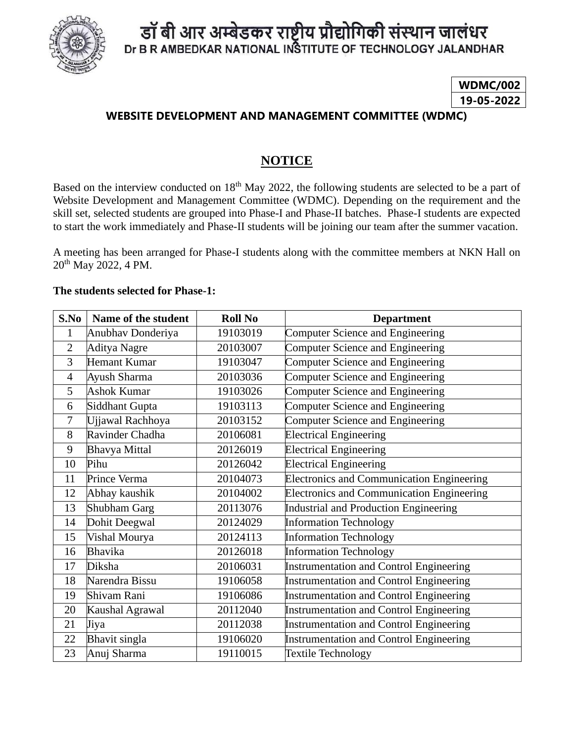

## डॉ बी आर अम्बेडकर राष्ट्रीय प्रौद्योगिकी संस्थान जालंधर Dr B R AMBEDKAR NATIONAL INSTITUTE OF TECHNOLOGY JALANDHAR

## **WDMC/002 19-05-2022**

#### **WEBSITE DEVELOPMENT AND MANAGEMENT COMMITTEE (WDMC)**

### **NOTICE**

Based on the interview conducted on 18<sup>th</sup> May 2022, the following students are selected to be a part of Website Development and Management Committee (WDMC). Depending on the requirement and the skill set, selected students are grouped into Phase-I and Phase-II batches. Phase-I students are expected to start the work immediately and Phase-II students will be joining our team after the summer vacation.

A meeting has been arranged for Phase-I students along with the committee members at NKN Hall on th May 2022, 4 PM.

#### **The students selected for Phase-1:**

| S.No           | Name of the student  | <b>Roll No</b> | <b>Department</b>                                |
|----------------|----------------------|----------------|--------------------------------------------------|
| $\mathbf{1}$   | Anubhav Donderiya    | 19103019       | Computer Science and Engineering                 |
| $\overline{2}$ | Aditya Nagre         | 20103007       | Computer Science and Engineering                 |
| 3              | <b>Hemant Kumar</b>  | 19103047       | Computer Science and Engineering                 |
| $\overline{4}$ | Ayush Sharma         | 20103036       | Computer Science and Engineering                 |
| 5              | <b>Ashok Kumar</b>   | 19103026       | Computer Science and Engineering                 |
| 6              | Siddhant Gupta       | 19103113       | Computer Science and Engineering                 |
| $\tau$         | Ujjawal Rachhoya     | 20103152       | Computer Science and Engineering                 |
| 8              | Ravinder Chadha      | 20106081       | <b>Electrical Engineering</b>                    |
| 9              | <b>Bhavya Mittal</b> | 20126019       | <b>Electrical Engineering</b>                    |
| 10             | Pihu                 | 20126042       | <b>Electrical Engineering</b>                    |
| 11             | Prince Verma         | 20104073       | <b>Electronics and Communication Engineering</b> |
| 12             | Abhay kaushik        | 20104002       | <b>Electronics and Communication Engineering</b> |
| 13             | Shubham Garg         | 20113076       | Industrial and Production Engineering            |
| 14             | Dohit Deegwal        | 20124029       | <b>Information Technology</b>                    |
| 15             | Vishal Mourya        | 20124113       | <b>Information Technology</b>                    |
| 16             | Bhavika              | 20126018       | <b>Information Technology</b>                    |
| 17             | Diksha               | 20106031       | Instrumentation and Control Engineering          |
| 18             | Narendra Bissu       | 19106058       | <b>Instrumentation and Control Engineering</b>   |
| 19             | Shivam Rani          | 19106086       | <b>Instrumentation and Control Engineering</b>   |
| 20             | Kaushal Agrawal      | 20112040       | <b>Instrumentation and Control Engineering</b>   |
| 21             | Jiya                 | 20112038       | <b>Instrumentation and Control Engineering</b>   |
| 22             | Bhavit singla        | 19106020       | Instrumentation and Control Engineering          |
| 23             | Anuj Sharma          | 19110015       | <b>Textile Technology</b>                        |